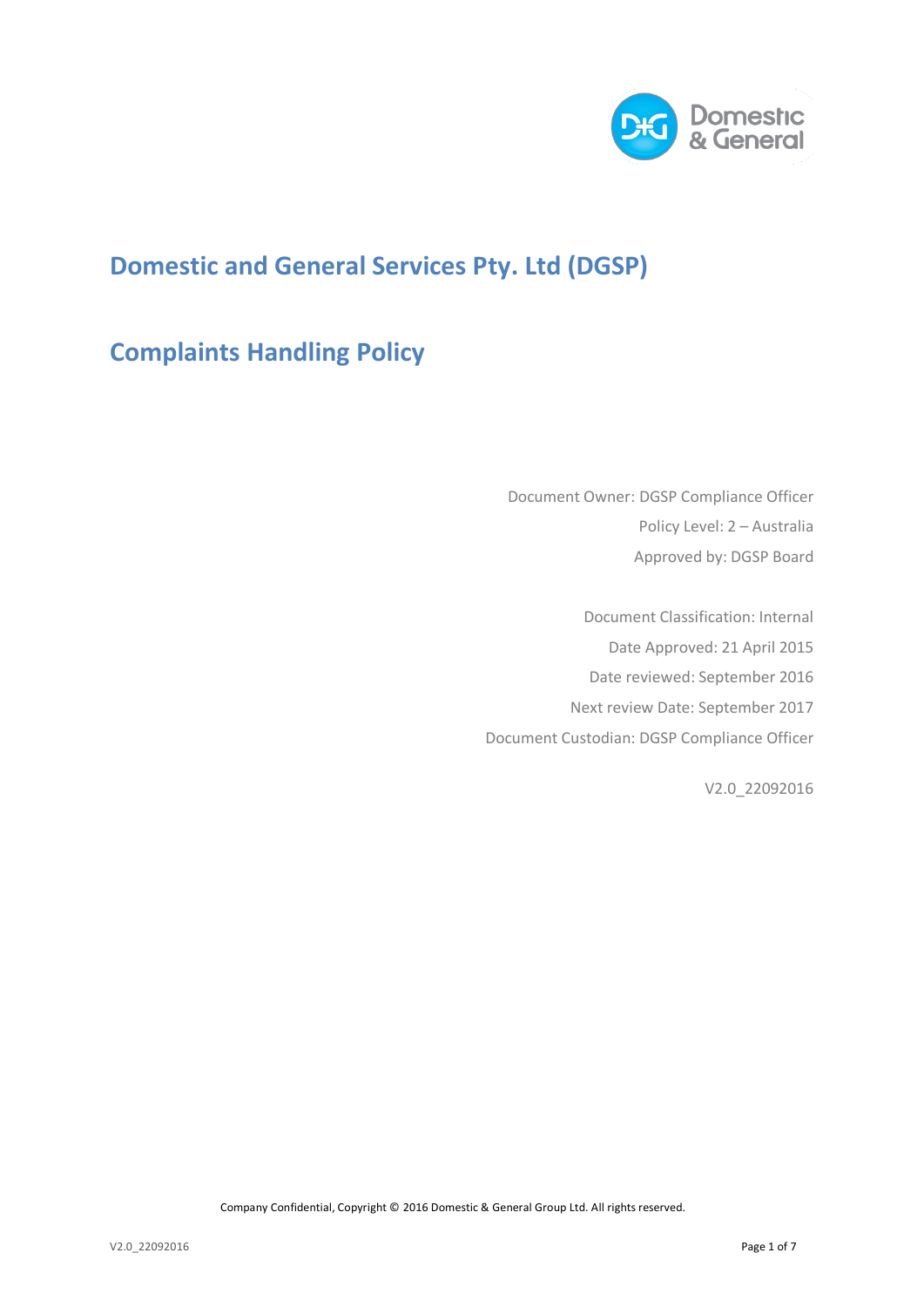

## **Domestic and General Services Pty. Ltd (DGSP)**

# **Complaints Handling Policy**

Document Owner: DGSP Compliance Officer Policy Level: 2 – Australia Approved by: DGSP Board

Document Classification: Internal Date Approved: 21 April 2015 Date reviewed: September 2016 Next review Date: September 2017 Document Custodian: DGSP Compliance Officer

V2.0\_22092016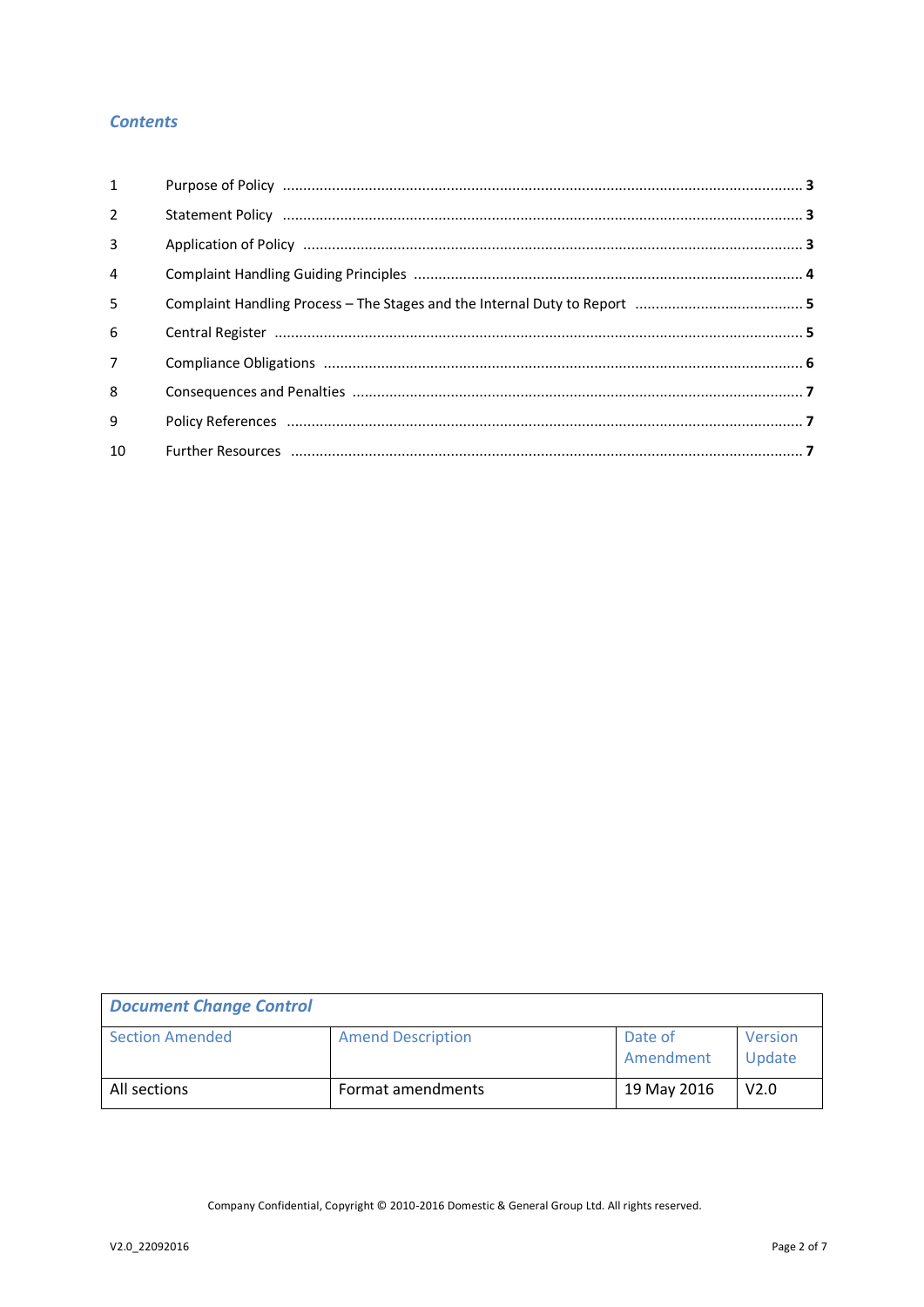## **Contents**

| $\mathbf{1}$   |  |
|----------------|--|
| $\overline{2}$ |  |
| 3              |  |
| $\overline{4}$ |  |
| 5              |  |
| 6              |  |
| $\overline{7}$ |  |
| 8              |  |
| 9              |  |
| 10             |  |

| <b>Document Change Control</b> |                          |                      |                   |  |  |  |
|--------------------------------|--------------------------|----------------------|-------------------|--|--|--|
| <b>Section Amended</b>         | <b>Amend Description</b> | Date of<br>Amendment | Version<br>Update |  |  |  |
| All sections                   | Format amendments        | 19 May 2016          | V <sub>2.0</sub>  |  |  |  |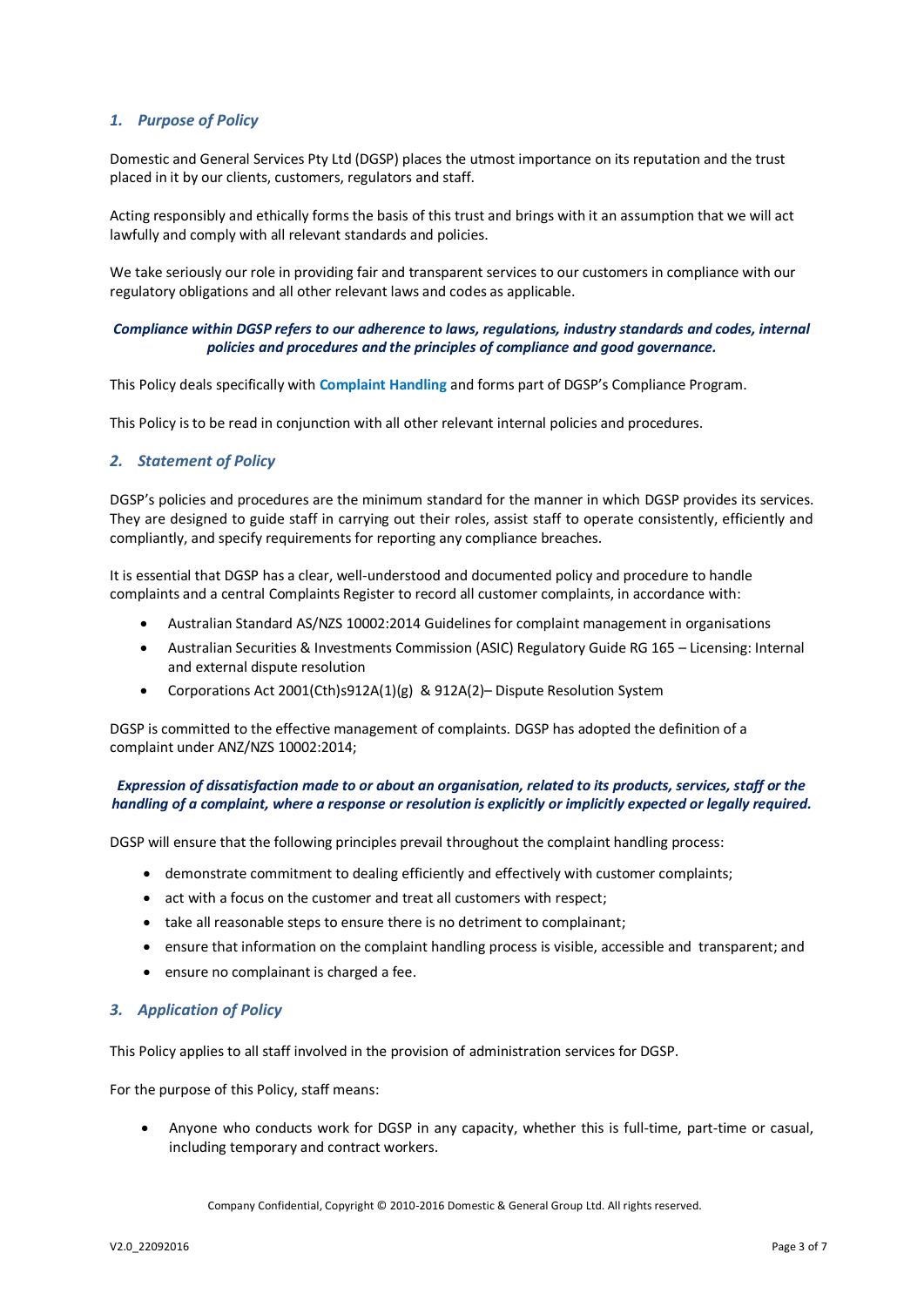## *1. Purpose of Policy*

Domestic and General Services Pty Ltd (DGSP) places the utmost importance on its reputation and the trust placed in it by our clients, customers, regulators and staff.

Acting responsibly and ethically forms the basis of this trust and brings with it an assumption that we will act lawfully and comply with all relevant standards and policies.

We take seriously our role in providing fair and transparent services to our customers in compliance with our regulatory obligations and all other relevant laws and codes as applicable.

### *Compliance within DGSP refers to our adherence to laws, regulations, industry standards and codes, internal policies and procedures and the principles of compliance and good governance.*

This Policy deals specifically with **Complaint Handling** and forms part of DGSP's Compliance Program.

This Policy is to be read in conjunction with all other relevant internal policies and procedures.

## *2. Statement of Policy*

DGSP's policies and procedures are the minimum standard for the manner in which DGSP provides its services. They are designed to guide staff in carrying out their roles, assist staff to operate consistently, efficiently and compliantly, and specify requirements for reporting any compliance breaches.

It is essential that DGSP has a clear, well-understood and documented policy and procedure to handle complaints and a central Complaints Register to record all customer complaints, in accordance with:

- Australian Standard AS/NZS 10002:2014 Guidelines for complaint management in organisations
- Australian Securities & Investments Commission (ASIC) Regulatory Guide RG 165 Licensing: Internal and external dispute resolution
- Corporations Act 2001(Cth)s912A(1)(g) & 912A(2)– Dispute Resolution System

DGSP is committed to the effective management of complaints. DGSP has adopted the definition of a complaint under ANZ/NZS 10002:2014;

### *Expression of dissatisfaction made to or about an organisation, related to its products, services, staff or the handling of a complaint, where a response or resolution is explicitly or implicitly expected or legally required.*

DGSP will ensure that the following principles prevail throughout the complaint handling process:

- demonstrate commitment to dealing efficiently and effectively with customer complaints;
- act with a focus on the customer and treat all customers with respect;
- take all reasonable steps to ensure there is no detriment to complainant;
- ensure that information on the complaint handling process is visible, accessible and transparent; and
- ensure no complainant is charged a fee.

### *3. Application of Policy*

This Policy applies to all staff involved in the provision of administration services for DGSP.

For the purpose of this Policy, staff means:

 Anyone who conducts work for DGSP in any capacity, whether this is full-time, part-time or casual, including temporary and contract workers.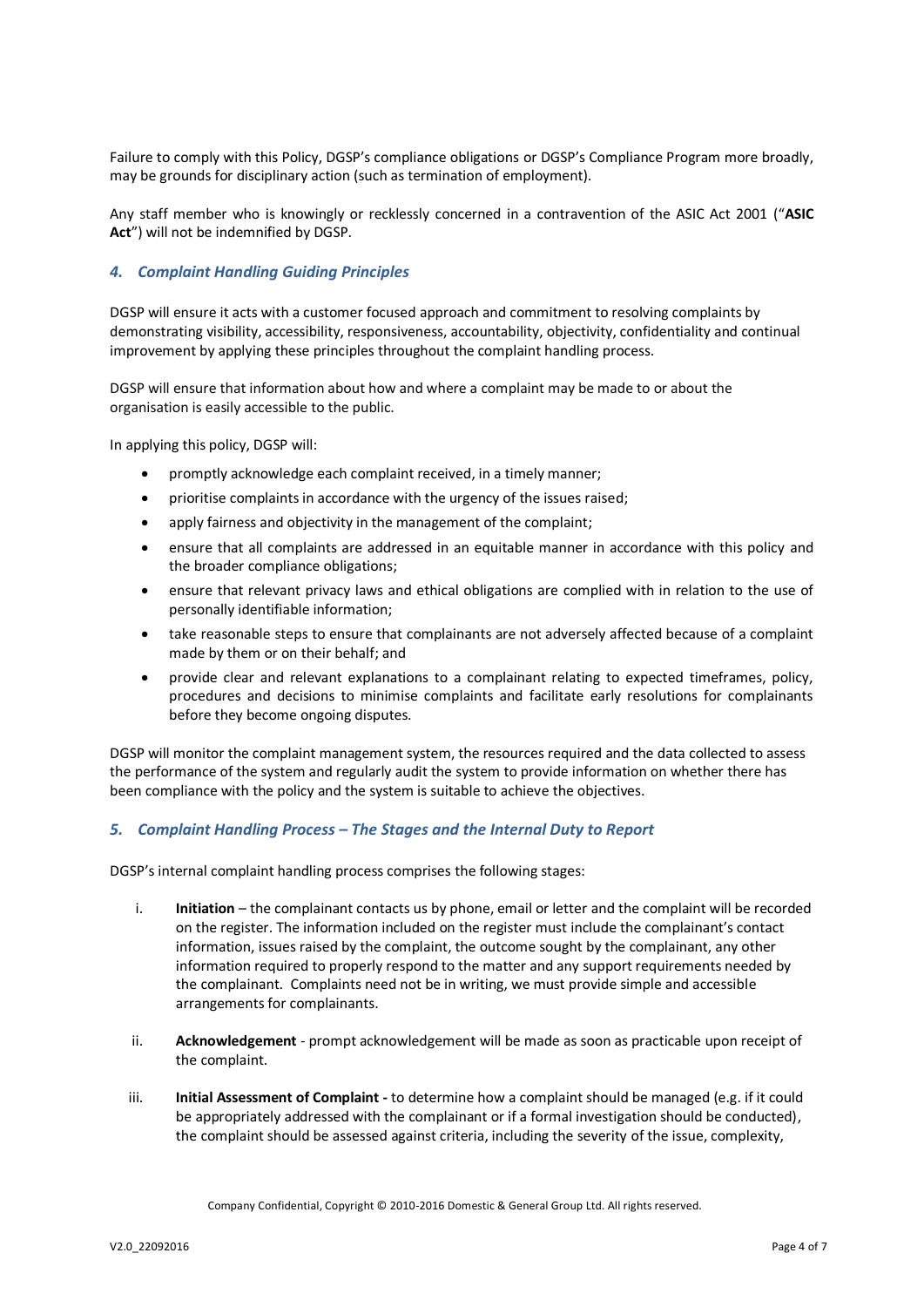Failure to comply with this Policy, DGSP's compliance obligations or DGSP's Compliance Program more broadly, may be grounds for disciplinary action (such as termination of employment).

Any staff member who is knowingly or recklessly concerned in a contravention of the ASIC Act 2001 ("**ASIC Act**") will not be indemnified by DGSP.

## *4. Complaint Handling Guiding Principles*

DGSP will ensure it acts with a customer focused approach and commitment to resolving complaints by demonstrating visibility, accessibility, responsiveness, accountability, objectivity, confidentiality and continual improvement by applying these principles throughout the complaint handling process.

DGSP will ensure that information about how and where a complaint may be made to or about the organisation is easily accessible to the public.

In applying this policy, DGSP will:

- promptly acknowledge each complaint received, in a timely manner;
- prioritise complaints in accordance with the urgency of the issues raised;
- apply fairness and objectivity in the management of the complaint;
- ensure that all complaints are addressed in an equitable manner in accordance with this policy and the broader compliance obligations;
- ensure that relevant privacy laws and ethical obligations are complied with in relation to the use of personally identifiable information;
- take reasonable steps to ensure that complainants are not adversely affected because of a complaint made by them or on their behalf; and
- provide clear and relevant explanations to a complainant relating to expected timeframes, policy, procedures and decisions to minimise complaints and facilitate early resolutions for complainants before they become ongoing disputes.

DGSP will monitor the complaint management system, the resources required and the data collected to assess the performance of the system and regularly audit the system to provide information on whether there has been compliance with the policy and the system is suitable to achieve the objectives.

### *5. Complaint Handling Process – The Stages and the Internal Duty to Report*

DGSP's internal complaint handling process comprises the following stages:

- i. **Initiation** the complainant contacts us by phone, email or letter and the complaint will be recorded on the register. The information included on the register must include the complainant's contact information, issues raised by the complaint, the outcome sought by the complainant, any other information required to properly respond to the matter and any support requirements needed by the complainant. Complaints need not be in writing, we must provide simple and accessible arrangements for complainants.
- ii. **Acknowledgement** prompt acknowledgement will be made as soon as practicable upon receipt of the complaint.
- iii. **Initial Assessment of Complaint -** to determine how a complaint should be managed (e.g. if it could be appropriately addressed with the complainant or if a formal investigation should be conducted), the complaint should be assessed against criteria, including the severity of the issue, complexity,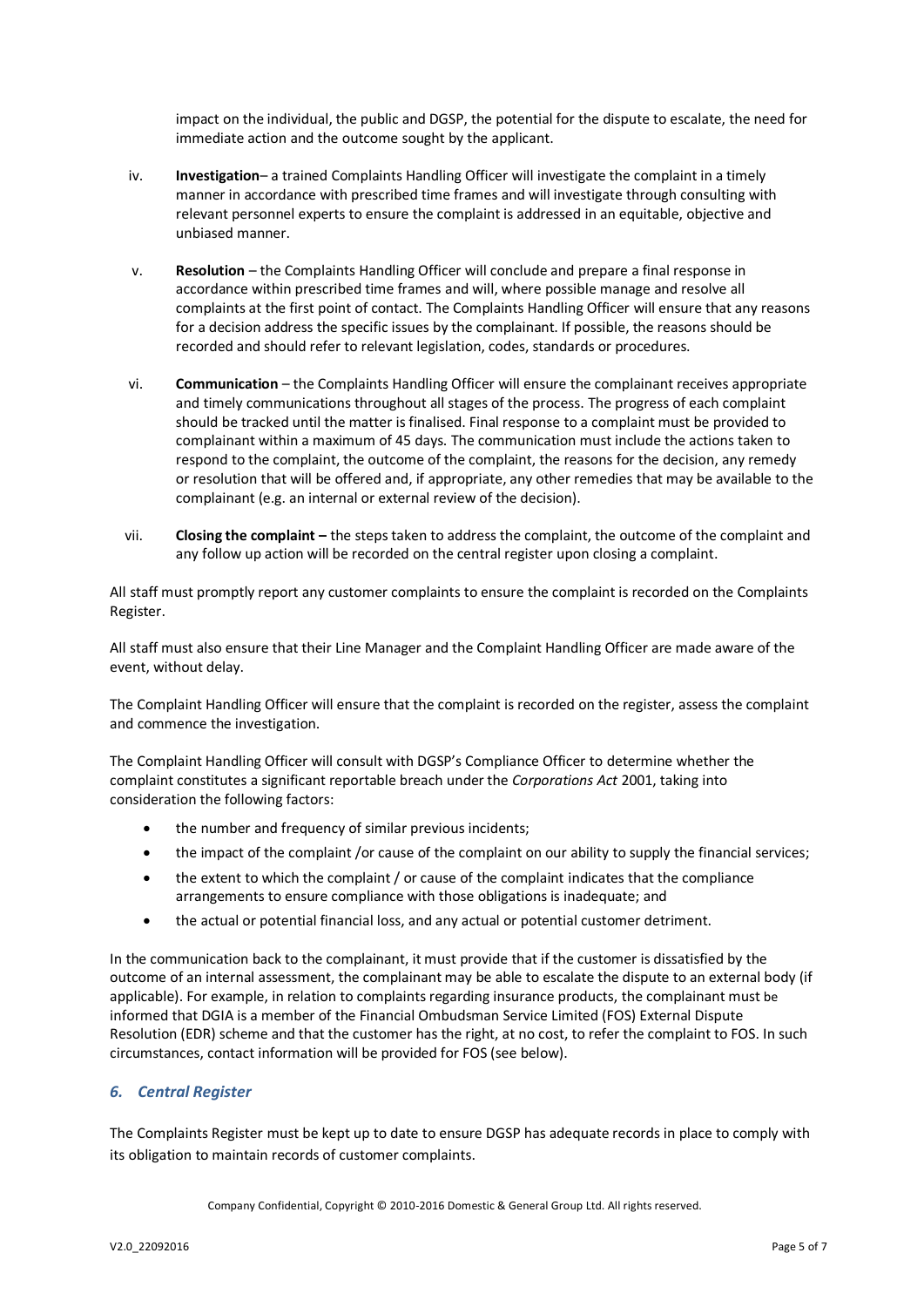impact on the individual, the public and DGSP, the potential for the dispute to escalate, the need for immediate action and the outcome sought by the applicant.

- iv. **Investigation** a trained Complaints Handling Officer will investigate the complaint in a timely manner in accordance with prescribed time frames and will investigate through consulting with relevant personnel experts to ensure the complaint is addressed in an equitable, objective and unbiased manner.
- v. **Resolution** the Complaints Handling Officer will conclude and prepare a final response in accordance within prescribed time frames and will, where possible manage and resolve all complaints at the first point of contact. The Complaints Handling Officer will ensure that any reasons for a decision address the specific issues by the complainant. If possible, the reasons should be recorded and should refer to relevant legislation, codes, standards or procedures.
- vi. **Communication** the Complaints Handling Officer will ensure the complainant receives appropriate and timely communications throughout all stages of the process. The progress of each complaint should be tracked until the matter is finalised. Final response to a complaint must be provided to complainant within a maximum of 45 days. The communication must include the actions taken to respond to the complaint, the outcome of the complaint, the reasons for the decision, any remedy or resolution that will be offered and, if appropriate, any other remedies that may be available to the complainant (e.g. an internal or external review of the decision).
- vii. **Closing the complaint –** the steps taken to address the complaint, the outcome of the complaint and any follow up action will be recorded on the central register upon closing a complaint.

All staff must promptly report any customer complaints to ensure the complaint is recorded on the Complaints Register.

All staff must also ensure that their Line Manager and the Complaint Handling Officer are made aware of the event, without delay.

The Complaint Handling Officer will ensure that the complaint is recorded on the register, assess the complaint and commence the investigation.

The Complaint Handling Officer will consult with DGSP's Compliance Officer to determine whether the complaint constitutes a significant reportable breach under the *Corporations Act* 2001, taking into consideration the following factors:

- the number and frequency of similar previous incidents;
- the impact of the complaint /or cause of the complaint on our ability to supply the financial services;
- the extent to which the complaint / or cause of the complaint indicates that the compliance arrangements to ensure compliance with those obligations is inadequate; and
- the actual or potential financial loss, and any actual or potential customer detriment.

In the communication back to the complainant, it must provide that if the customer is dissatisfied by the outcome of an internal assessment, the complainant may be able to escalate the dispute to an external body (if applicable). For example, in relation to complaints regarding insurance products, the complainant must be informed that DGIA is a member of the Financial Ombudsman Service Limited (FOS) External Dispute Resolution (EDR) scheme and that the customer has the right, at no cost, to refer the complaint to FOS. In such circumstances, contact information will be provided for FOS (see below).

## *6. Central Register*

The Complaints Register must be kept up to date to ensure DGSP has adequate records in place to comply with its obligation to maintain records of customer complaints.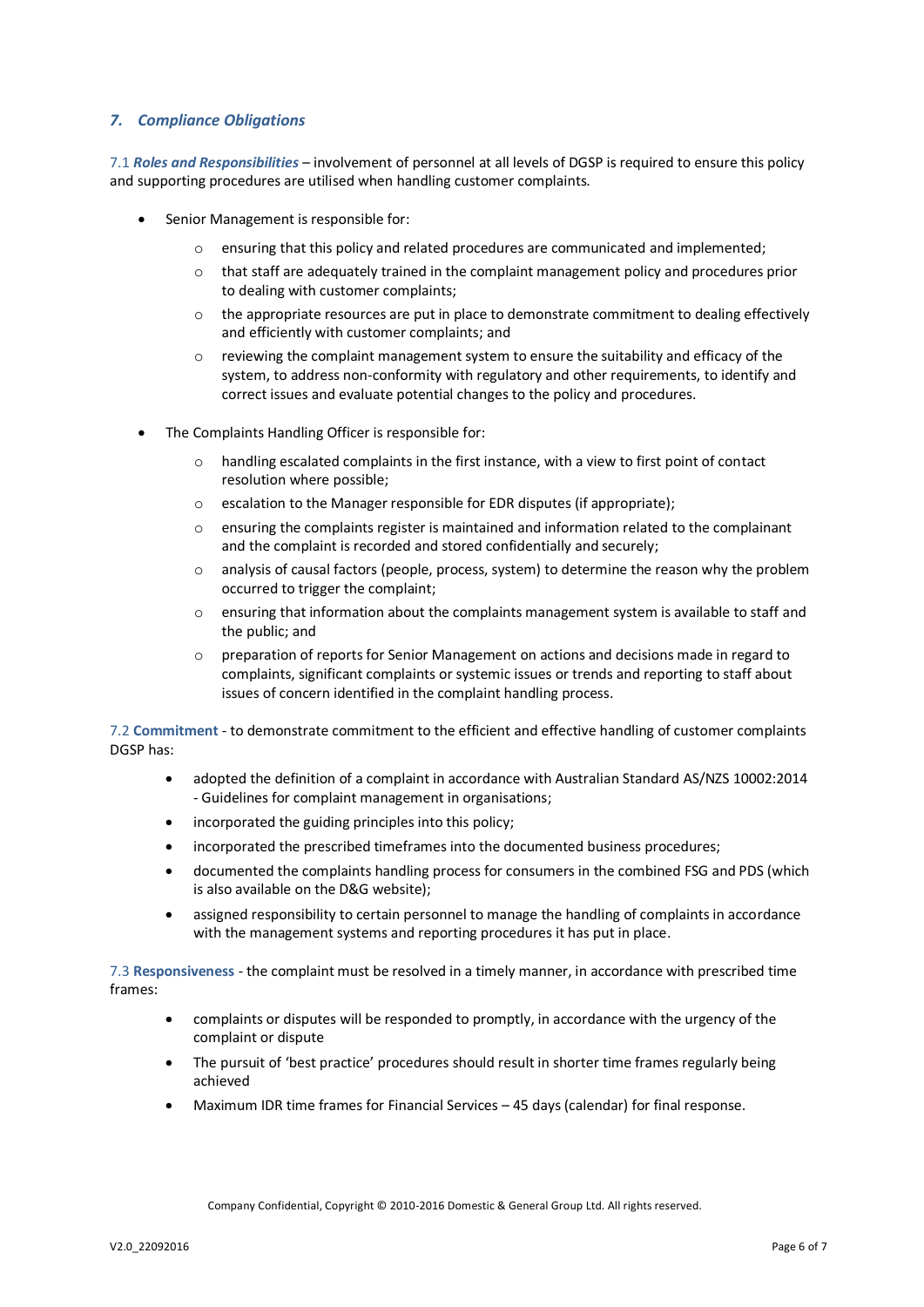## *7. Compliance Obligations*

7.1 *Roles and Responsibilities* – involvement of personnel at all levels of DGSP is required to ensure this policy and supporting procedures are utilised when handling customer complaints.

- Senior Management is responsible for:
	- $\circ$  ensuring that this policy and related procedures are communicated and implemented;
	- o that staff are adequately trained in the complaint management policy and procedures prior to dealing with customer complaints;
	- $\circ$  the appropriate resources are put in place to demonstrate commitment to dealing effectively and efficiently with customer complaints; and
	- $\circ$  reviewing the complaint management system to ensure the suitability and efficacy of the system, to address non-conformity with regulatory and other requirements, to identify and correct issues and evaluate potential changes to the policy and procedures.
- The Complaints Handling Officer is responsible for:
	- $\circ$  handling escalated complaints in the first instance, with a view to first point of contact resolution where possible;
	- o escalation to the Manager responsible for EDR disputes (if appropriate);
	- $\circ$  ensuring the complaints register is maintained and information related to the complainant and the complaint is recorded and stored confidentially and securely;
	- $\circ$  analysis of causal factors (people, process, system) to determine the reason why the problem occurred to trigger the complaint;
	- $\circ$  ensuring that information about the complaints management system is available to staff and the public; and
	- $\circ$  preparation of reports for Senior Management on actions and decisions made in regard to complaints, significant complaints or systemic issues or trends and reporting to staff about issues of concern identified in the complaint handling process.

7.2 **Commitment** - to demonstrate commitment to the efficient and effective handling of customer complaints DGSP has:

- adopted the definition of a complaint in accordance with Australian Standard AS/NZS 10002:2014 - Guidelines for complaint management in organisations;
- incorporated the guiding principles into this policy;
- incorporated the prescribed timeframes into the documented business procedures;
- documented the complaints handling process for consumers in the combined FSG and PDS (which is also available on the D&G website);
- assigned responsibility to certain personnel to manage the handling of complaints in accordance with the management systems and reporting procedures it has put in place.

7.3 **Responsiveness** - the complaint must be resolved in a timely manner, in accordance with prescribed time frames:

- complaints or disputes will be responded to promptly, in accordance with the urgency of the complaint or dispute
- The pursuit of 'best practice' procedures should result in shorter time frames regularly being achieved
- Maximum IDR time frames for Financial Services 45 days (calendar) for final response.